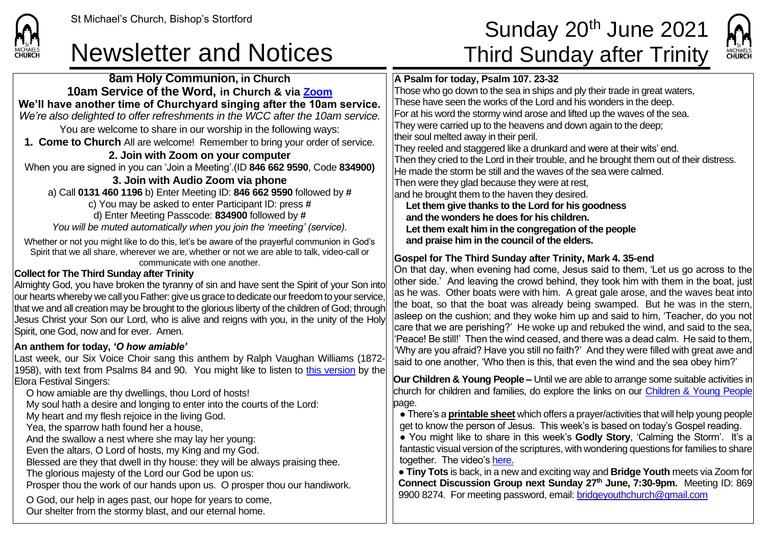

**CHURCH** 

## Newsletter and Notices Third Sunday after Trinity

## St Michael's Church, Bishop's Stortford **Sunday 20<sup>th</sup> June 2021**



**8am Holy Communion, in Church 10am Service of the Word, in Church & via [Zoom](https://zoom.us/) We'll have another time of Churchyard singing after the 10am service.** *We're also delighted to offer refreshments in the WCC after the 10am service.* You are welcome to share in our worship in the following ways: **1. Come to Church** All are welcome! Remember to bring your order of service. **2. Join with Zoom on your computer** When you are signed in you can 'Join a Meeting'.(ID **846 662 9590**, Code **834900) 3. Join with Audio Zoom via phone**  a) Call **0131 460 1196** b) Enter Meeting ID: **846 662 9590** followed by **#** c) You may be asked to enter Participant ID: press **#** d) Enter Meeting Passcode: **834900** followed by **#** *You will be muted automatically when you join the 'meeting' (service).* Whether or not you might like to do this, let's be aware of the prayerful communion in God's Spirit that we all share, wherever we are, whether or not we are able to talk, video-call or communicate with one another. **Collect for The Third Sunday after Trinity** Almighty God, you have broken the tyranny of sin and have sent the Spirit of your Son into our hearts whereby we call you Father: give us grace to dedicate our freedom to your service, that we and all creation may be brought to the glorious liberty of the children of God; through Jesus Christ your Son our Lord, who is alive and reigns with you, in the unity of the Holy Spirit, one God, now and for ever. Amen. **An anthem for today,** *'O how amiable'* Last week, our Six Voice Choir sang this anthem by Ralph Vaughan Williams (1872- 1958), with text from Psalms 84 and 90. You might like to listen to [this version](https://www.youtube.com/watch?v=Yr9O440q998) by the Elora Festival Singers: O how amiable are thy dwellings, thou Lord of hosts! My soul hath a desire and longing to enter into the courts of the Lord: My heart and my flesh rejoice in the living God. Yea, the sparrow hath found her a house, And the swallow a nest where she may lay her young: Even the altars, O Lord of hosts, my King and my God. Blessed are they that dwell in thy house: they will be always praising thee. The glorious majesty of the Lord our God be upon us: Prosper thou the work of our hands upon us. O prosper thou our handiwork. O God, our help in ages past, our hope for years to come, Our shelter from the stormy blast, and our eternal home. **A Psalm for today, Psalm 107. 23-32** Those who go down to the sea in ships and ply their trade in great waters, These have seen the works of the Lord and his wonders in the deep. For at his word the stormy wind arose and lifted up the waves of the sea. They were carried up to the heavens and down again to the deep; their soul melted away in their peril. They reeled and staggered like a drunkard and were at their wits' end. Then they cried to the Lord in their trouble, and he brought them out of their distress. He made the storm be still and the waves of the sea were calmed. Then were they glad because they were at rest, and he brought them to the haven they desired. **Let them give thanks to the Lord for his goodness and the wonders he does for his children. Let them exalt him in the congregation of the people and praise him in the council of the elders. Gospel for The Third Sunday after Trinity, Mark 4. 35-end** On that day, when evening had come, Jesus said to them, 'Let us go across to the other side.' And leaving the crowd behind, they took him with them in the boat, just as he was. Other boats were with him. A great gale arose, and the waves beat into the boat, so that the boat was already being swamped. But he was in the stern, asleep on the cushion; and they woke him up and said to him, 'Teacher, do you not care that we are perishing?' He woke up and rebuked the wind, and said to the sea, 'Peace! Be still!' Then the wind ceased, and there was a dead calm. He said to them, 'Why are you afraid? Have you still no faith?' And they were filled with great awe and said to one another, 'Who then is this, that even the wind and the sea obey him?' **Our Children & Young People –** Until we are able to arrange some suitable activities in church for children and families, do explore the links on our [Children & Young People](https://saintmichaelweb.org.uk/Groups/310496/Children_and_Young.aspx) page. ● There's a **[printable sheet](https://saintmichaelweb.org.uk/Groups/310496/Children_and_Young.aspx)** which offers a prayer/activities that will help young people get to know the person of Jesus. This week's is based on today's Gospel reading. ● You might like to share in this week's **Godly Story**, 'Calming the Storm'. It's a fantastic visual version of the scriptures, with wondering questions for families to share together. The video's [here.](https://www.youtube.com/watch?v=1eBYWTiqe4k) ● **Tiny Tots** is back, in a new and exciting way and **Bridge Youth** meets via Zoom for **Connect Discussion Group next Sunday 27th June, 7:30-9pm.** Meeting ID: 869 9900 8274. For meeting password, email: [bridgeyouthchurch@gmail.com](mailto:bridgeyouthchurch@gmail.com)